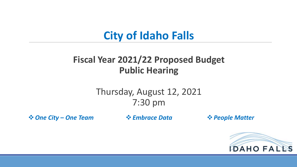### **City of Idaho Falls**

#### **Fiscal Year 2021/22 Proposed Budget Public Hearing**

#### Thursday, August 12, 2021 7:30 pm

**<sup>❖</sup> One City – One Team**  $\bullet \bullet$  Embrace Data  $\bullet \bullet$  People Matter

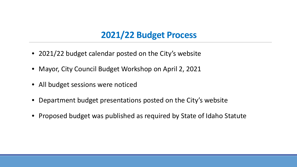#### **2021/22 Budget Process**

- 2021/22 budget calendar posted on the City's website
- Mayor, City Council Budget Workshop on April 2, 2021
- All budget sessions were noticed
- Department budget presentations posted on the City's website
- Proposed budget was published as required by State of Idaho Statute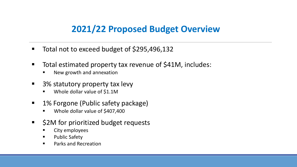#### **2021/22 Proposed Budget Overview**

- Total not to exceed budget of \$295,496,132
- Total estimated property tax revenue of \$41M, includes:
	- New growth and annexation
- 3% statutory property tax levy
	- Whole dollar value of \$1.1M
- 1% Forgone (Public safety package)
	- Whole dollar value of \$407,400
- \$2M for prioritized budget requests
	- City employees
	- **Public Safety**
	- **Parks and Recreation**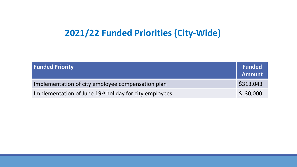#### **2021/22 Funded Priorities (City-Wide)**

| <b>Funded Priority</b>                                             | Funded<br>Amount |
|--------------------------------------------------------------------|------------------|
| Implementation of city employee compensation plan                  | \$313,043        |
| Implementation of June 19 <sup>th</sup> holiday for city employees | \$30,000         |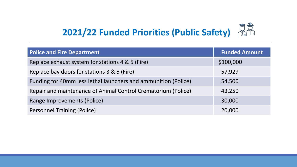# **2021/22 Funded Priorities (Public Safety)**

| <b>Police and Fire Department</b>                              | <b>Funded Amount</b> |
|----------------------------------------------------------------|----------------------|
| Replace exhaust system for stations 4 & 5 (Fire)               | \$100,000            |
| Replace bay doors for stations 3 & 5 (Fire)                    | 57,929               |
| Funding for 40mm less lethal launchers and ammunition (Police) | 54,500               |
| Repair and maintenance of Animal Control Crematorium (Police)  | 43,250               |
| Range Improvements (Police)                                    | 30,000               |
| <b>Personnel Training (Police)</b>                             | 20,000               |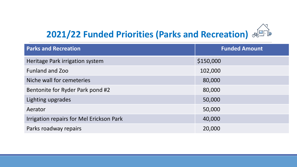## **2021/22 Funded Priorities (Parks and Recreation)**

| <b>Parks and Recreation</b>                     | <b>Funded Amount</b> |
|-------------------------------------------------|----------------------|
| Heritage Park irrigation system                 | \$150,000            |
| <b>Funland and Zoo</b>                          | 102,000              |
| Niche wall for cemeteries                       | 80,000               |
| Bentonite for Ryder Park pond #2                | 80,000               |
| Lighting upgrades                               | 50,000               |
| Aerator                                         | 50,000               |
| <b>Irrigation repairs for Mel Erickson Park</b> | 40,000               |
| Parks roadway repairs                           | 20,000               |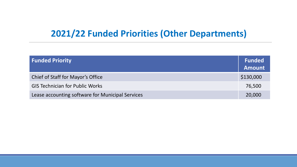#### **2021/22 Funded Priorities (Other Departments)**

| <b>Funded Priority</b>                           | <b>Funded</b><br><b>Amount</b> |
|--------------------------------------------------|--------------------------------|
| Chief of Staff for Mayor's Office                | \$130,000                      |
| <b>GIS Technician for Public Works</b>           | 76,500                         |
| Lease accounting software for Municipal Services | 20,000                         |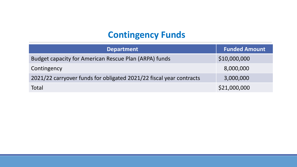#### **Contingency Funds**

| <b>Department</b>                                                   | <b>Funded Amount</b> |
|---------------------------------------------------------------------|----------------------|
| Budget capacity for American Rescue Plan (ARPA) funds               | \$10,000,000         |
| Contingency                                                         | 8,000,000            |
| 2021/22 carryover funds for obligated 2021/22 fiscal year contracts | 3,000,000            |
| Total                                                               | \$21,000,000         |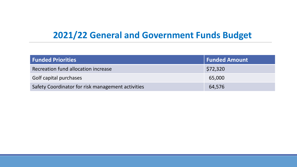#### **2021/22 General and Government Funds Budget**

| <b>Funded Priorities</b>                          | <b>Funded Amount</b> |
|---------------------------------------------------|----------------------|
| Recreation fund allocation increase               | \$72,320             |
| Golf capital purchases                            | 65,000               |
| Safety Coordinator for risk management activities | 64,576               |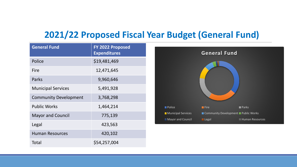#### **2021/22 Proposed Fiscal Year Budget (General Fund)**

| <b>General Fund</b>          | FY 2022 Proposed<br><b>Expenditures</b> |
|------------------------------|-----------------------------------------|
| Police                       | \$19,481,469                            |
| Fire                         | 12,471,645                              |
| Parks                        | 9,960,646                               |
| <b>Municipal Services</b>    | 5,491,928                               |
| <b>Community Development</b> | 3,768,298                               |
| <b>Public Works</b>          | 1,464,214                               |
| <b>Mayor and Council</b>     | 775,139                                 |
| Legal                        | 423,563                                 |
| <b>Human Resources</b>       | 420,102                                 |
| Total                        | \$54,257,004                            |

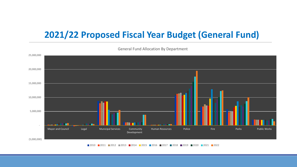#### **2021/22 Proposed Fiscal Year Budget (General Fund)**

 (5,000,000) - 5,000,000 10,000,000 15,000,000 20,000,000 25,000,000 Mayor and Council **Legal** Municipal Services Community Development Human Resources **Police Parks** Public Works **Public Works** 

General Fund Allocation By Department

■ 2010 ■ 2011 ■ 2012 ■ 2013 ■ 2014 ■ 2015 ■ 2016 ■ 2017 ■ 2018 ■ 2019 ■ 2020 ■ 2021 ■ 2022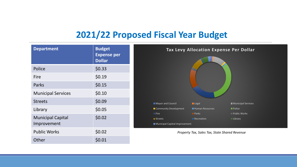#### **2021/22 Proposed Fiscal Year Budget**

| <b>Department</b>                       | <b>Budget</b><br><b>Expense per</b> | Tax Levy Allocation Expense Per Dollar                                                                                           |
|-----------------------------------------|-------------------------------------|----------------------------------------------------------------------------------------------------------------------------------|
|                                         | <b>Dollar</b>                       |                                                                                                                                  |
| Police                                  | \$0.33                              |                                                                                                                                  |
| <b>Fire</b>                             | \$0.19                              |                                                                                                                                  |
| Parks                                   | \$0.15                              |                                                                                                                                  |
| <b>Municipal Services</b>               | \$0.10                              |                                                                                                                                  |
| <b>Streets</b>                          | \$0.09                              | Mayor and Council<br>Municipal Services<br>Legal                                                                                 |
| Library                                 | \$0.05                              | Community Development<br>Human Resources<br><b>Police</b>                                                                        |
| <b>Municipal Capital</b><br>Improvement | \$0.02                              | Public Works<br>$\blacksquare$ Fire<br><b>Parks</b><br>Recreation<br>Library<br><b>Streets</b><br>Municipal Capitial Improvement |
| <b>Public Works</b>                     | \$0.02                              | Property Tax, Sales Tax, State Shared Revenue                                                                                    |
| Other                                   | \$0.01                              |                                                                                                                                  |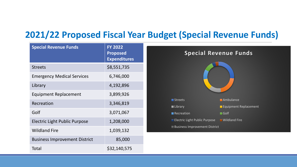#### **2021/22 Proposed Fiscal Year Budget (Special Revenue Funds)**

| <b>Special Revenue Funds</b>         | <b>FY 2022</b><br><b>Proposed</b><br><b>Expenditures</b> |
|--------------------------------------|----------------------------------------------------------|
| <b>Streets</b>                       | \$8,551,735                                              |
| <b>Emergency Medical Services</b>    | 6,746,000                                                |
| Library                              | 4,192,896                                                |
| <b>Equipment Replacement</b>         | 3,899,926                                                |
| Recreation                           | 3,346,819                                                |
| Golf                                 | 3,071,067                                                |
| <b>Electric Light Public Purpose</b> | 1,208,000                                                |
| <b>Wildland Fire</b>                 | 1,039,132                                                |
| <b>Business Improvement District</b> | 85,000                                                   |
| Total                                | \$32,140,575                                             |

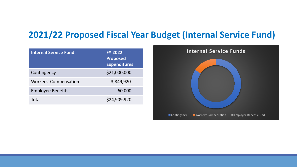#### **2021/22 Proposed Fiscal Year Budget (Internal Service Fund)**

| <b>Internal Service Fund</b> | <b>FY 2022</b><br><b>Proposed</b><br><b>Expenditures</b> |
|------------------------------|----------------------------------------------------------|
| Contingency                  | \$21,000,000                                             |
| <b>Workers' Compensation</b> | 3,849,920                                                |
| <b>Employee Benefits</b>     | 60,000                                                   |
| Total                        | \$24,909,920                                             |

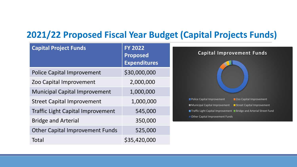#### **2021/22 Proposed Fiscal Year Budget (Capital Projects Funds)**

| <b>Capital Project Funds</b>             | <b>FY 2022</b><br><b>Proposed</b><br><b>Expenditures</b> | <b>Capital Improvement Funds</b>                                                                                     |
|------------------------------------------|----------------------------------------------------------|----------------------------------------------------------------------------------------------------------------------|
| <b>Police Capital Improvement</b>        | \$30,000,000                                             |                                                                                                                      |
| Zoo Capital Improvement                  | 2,000,000                                                |                                                                                                                      |
| <b>Municipal Capital Improvement</b>     | 1,000,000                                                |                                                                                                                      |
| <b>Street Capital Improvement</b>        | 1,000,000                                                | Police Capital Improvement<br>Zoo Capital Improvement<br>Municipal Capital Improvement<br>Street Capital Improvement |
| <b>Traffic Light Capital Improvement</b> | 545,000                                                  | ■ Traffic Light Capital Improvement ■ Bridge and Arterial Street Fund<br>Other Capital Improvement Funds             |
| <b>Bridge and Arterial</b>               | 350,000                                                  |                                                                                                                      |
| <b>Other Capital Improvement Funds</b>   | 525,000                                                  |                                                                                                                      |
| Total                                    | \$35,420,000                                             |                                                                                                                      |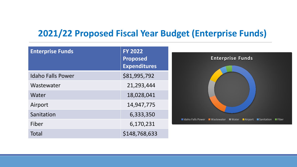#### **2021/22 Proposed Fiscal Year Budget (Enterprise Funds)**

| <b>Enterprise Funds</b>  | <b>FY 2022</b><br>Proposed<br><b>Expenditures</b> | <b>Enterprise Funds</b>                                           |
|--------------------------|---------------------------------------------------|-------------------------------------------------------------------|
| <b>Idaho Falls Power</b> | \$81,995,792                                      |                                                                   |
| Wastewater               | 21,293,444                                        |                                                                   |
| Water                    | 18,028,041                                        |                                                                   |
| Airport                  | 14,947,775                                        |                                                                   |
| Sanitation               | 6,333,350                                         |                                                                   |
| Fiber                    | 6,170,231                                         | ■Idaho Falls Power ■Wastewater ■Water ■Airport ■Sanitation ■Fiber |
| Total                    | \$148,768,633                                     |                                                                   |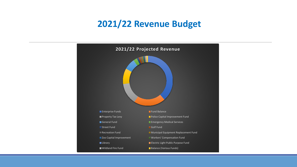#### **2021/22 Revenue Budget**